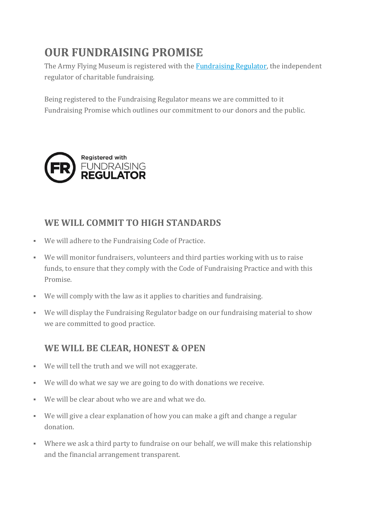# **OUR FUNDRAISING PROMISE**

The Army Flying Museum is registered with the **[Fundraising](https://www.fundraisingregulator.org.uk/) Regulator**, the independent regulator of charitable fundraising.

Being registered to the Fundraising Regulator means we are committed to it Fundraising Promise which outlines our commitment to our donors and the public.



#### **WE WILL COMMIT TO HIGH STANDARDS**

- We will adhere to the Fundraising Code of Practice.
- We will monitor fundraisers, volunteers and third parties working with us to raise funds, to ensure that they comply with the Code of Fundraising Practice and with this Promise.
- We will comply with the law as it applies to charities and fundraising.
- We will display the Fundraising Regulator badge on our fundraising material to show we are committed to good practice.

#### **WE WILL BE CLEAR, HONEST & OPEN**

- We will tell the truth and we will not exaggerate.
- We will do what we say we are going to do with donations we receive.
- We will be clear about who we are and what we do.
- We will give a clear explanation of how you can make a gift and change a regular donation.
- Where we ask a third party to fundraise on our behalf, we will make this relationship and the financial arrangement transparent.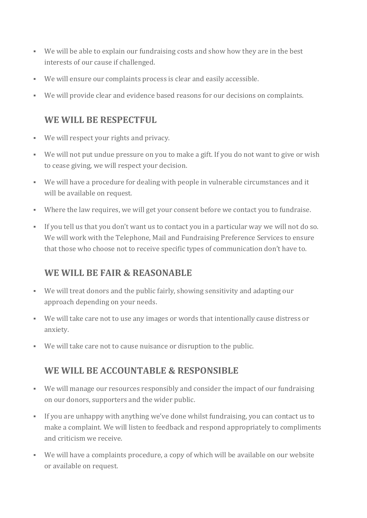- We will be able to explain our fundraising costs and show how they are in the best interests of our cause if challenged.
- We will ensure our complaints process is clear and easily accessible.
- We will provide clear and evidence based reasons for our decisions on complaints.

#### **WE WILL BE RESPECTFUL**

- We will respect your rights and privacy.
- We will not put undue pressure on you to make a gift. If you do not want to give or wish to cease giving, we will respect your decision.
- We will have a procedure for dealing with people in vulnerable circumstances and it will be available on request.
- Where the law requires, we will get your consent before we contact you to fundraise.
- If you tell us that you don't want us to contact you in a particular way we will not do so. We will work with the Telephone, Mail and Fundraising Preference Services to ensure that those who choose not to receive specific types of communication don't have to.

## **WE WILL BE FAIR & REASONABLE**

- We will treat donors and the public fairly, showing sensitivity and adapting our approach depending on your needs.
- We will take care not to use any images or words that intentionally cause distress or anxiety.
- We will take care not to cause nuisance or disruption to the public.

## **WE WILL BE ACCOUNTABLE & RESPONSIBLE**

- We will manage our resources responsibly and consider the impact of our fundraising on our donors, supporters and the wider public.
- If you are unhappy with anything we've done whilst fundraising, you can contact us to make a complaint. We will listen to feedback and respond appropriately to compliments and criticism we receive.
- We will have a complaints procedure, a copy of which will be available on our website or available on request.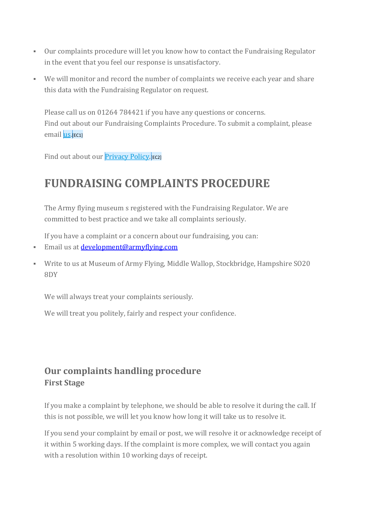- Our complaints procedure will let you know how to contact the Fundraising Regulator in the event that you feel our response is unsatisfactory.
- We will monitor and record the number of complaints we receive each year and share this data with the Fundraising Regulator on request.

Please call us on 01264 784421 if you have any questions or concerns. Find out about our Fundraising Complaints Procedure. To submit a complaint, please email <u>us</u>.[EC1]

Find out about our [Privacy](https://www.ssafa.org.uk/our-privacy-policy) Policy.<sup>[EC2]</sup>

## **FUNDRAISING COMPLAINTS PROCEDURE**

The Army flying museum s registered with the Fundraising Regulator. We are committed to best practice and we take all complaints seriously.

If you have a complaint or a concern about our fundraising, you can:

- Email us at [development@armyflying.com](mailto:development@armyflying.com)
- Write to us at Museum of Army Flying, Middle Wallop, Stockbridge, Hampshire SO20 8DY

We will always treat your complaints seriously.

We will treat you politely, fairly and respect your confidence.

#### **Our complaints handling procedure First Stage**

If you make a complaint by telephone, we should be able to resolve it during the call. If this is not possible, we will let you know how long it will take us to resolve it.

If you send your complaint by email or post, we will resolve it or acknowledge receipt of it within 5 working days. If the complaint is more complex, we will contact you again with a resolution within 10 working days of receipt.